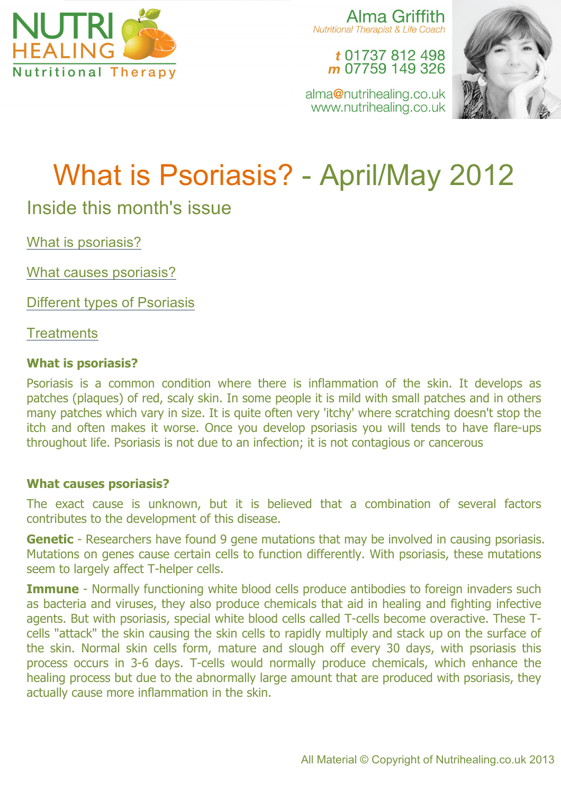

Alma Griffith Nutritional Therapist & Life Coach

t 01737 812 498 m 07759 149 326

alma@nutrihealing.co.uk www.nutrihealing.co.uk



# What is Psoriasis? - April/May 2012

# Inside this month's issue

What is psoriasis?

What causes psoriasis?

Different types of Psoriasis

**Treatments** 

# **What is psoriasis?**

Psoriasis is a common condition where there is inflammation of the skin. It develops as patches (plaques) of red, scaly skin. In some people it is mild with small patches and in others many patches which vary in size. It is quite often very 'itchy' where scratching doesn't stop the itch and often makes it worse. Once you develop psoriasis you will tends to have flare-ups throughout life. Psoriasis is not due to an infection; it is not contagious or cancerous

# **What causes psoriasis?**

The exact cause is unknown, but it is believed that a combination of several factors contributes to the development of this disease.

**Genetic** - Researchers have found 9 gene mutations that may be involved in causing psoriasis. Mutations on genes cause certain cells to function differently. With psoriasis, these mutations seem to largely affect T-helper cells.

**Immune** - Normally functioning white blood cells produce antibodies to foreign invaders such as bacteria and viruses, they also produce chemicals that aid in healing and fighting infective agents. But with psoriasis, special white blood cells called T-cells become overactive. These Tcells "attack" the skin causing the skin cells to rapidly multiply and stack up on the surface of the skin. Normal skin cells form, mature and slough off every 30 days, with psoriasis this process occurs in 3-6 days. T-cells would normally produce chemicals, which enhance the healing process but due to the abnormally large amount that are produced with psoriasis, they actually cause more inflammation in the skin.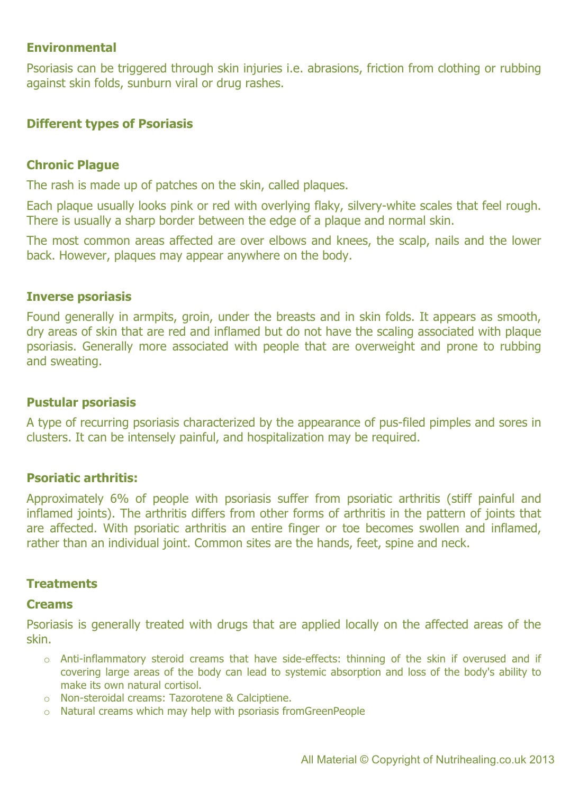## **Environmental**

Psoriasis can be triggered through skin injuries i.e. abrasions, friction from clothing or rubbing against skin folds, sunburn viral or drug rashes.

#### **Different types of Psoriasis**

#### **Chronic Plague**

The rash is made up of patches on the skin, called plaques.

Each plaque usually looks pink or red with overlying flaky, silvery-white scales that feel rough. There is usually a sharp border between the edge of a plaque and normal skin.

The most common areas affected are over elbows and knees, the scalp, nails and the lower back. However, plaques may appear anywhere on the body.

#### **Inverse psoriasis**

Found generally in armpits, groin, under the breasts and in skin folds. It appears as smooth, dry areas of skin that are red and inflamed but do not have the scaling associated with plaque psoriasis. Generally more associated with people that are overweight and prone to rubbing and sweating.

#### **Pustular psoriasis**

A type of recurring psoriasis characterized by the appearance of pus-filed pimples and sores in clusters. It can be intensely painful, and hospitalization may be required.

#### **Psoriatic arthritis:**

Approximately 6% of people with psoriasis suffer from psoriatic arthritis (stiff painful and inflamed joints). The arthritis differs from other forms of arthritis in the pattern of joints that are affected. With psoriatic arthritis an entire finger or toe becomes swollen and inflamed, rather than an individual joint. Common sites are the hands, feet, spine and neck.

#### **Treatments**

#### **Creams**

Psoriasis is generally treated with drugs that are applied locally on the affected areas of the skin.

- o Anti-inflammatory steroid creams that have side-effects: thinning of the skin if overused and if covering large areas of the body can lead to systemic absorption and loss of the body's ability to make its own natural cortisol.
- o Non-steroidal creams: Tazorotene & Calciptiene.
- o Natural creams which may help with psoriasis fromGreenPeople